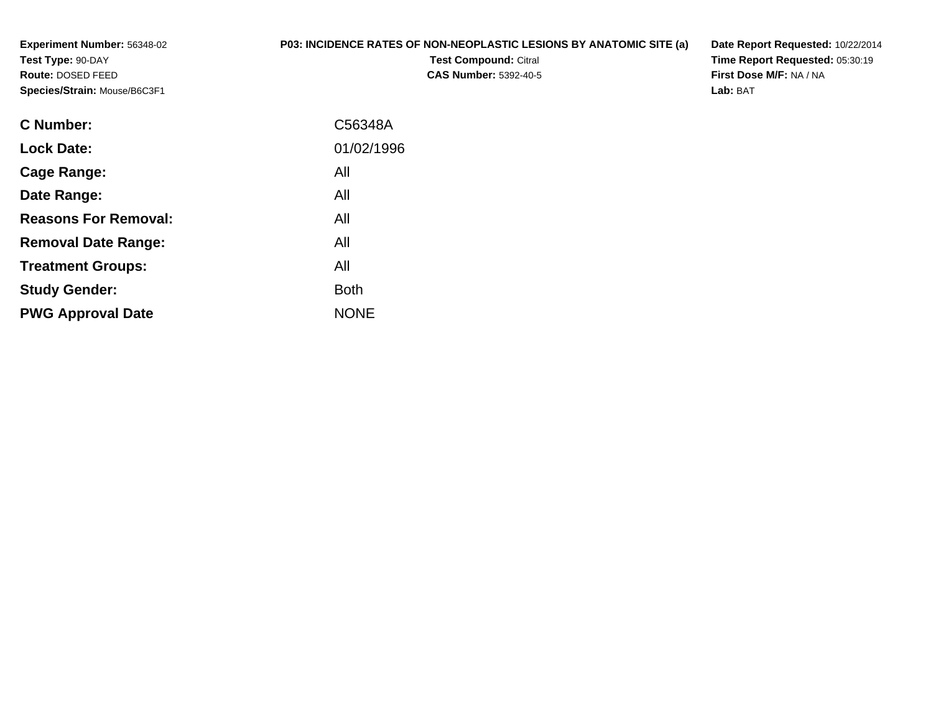**Experiment Number:** 56348-02**Test Type:** 90-DAY **Route:** DOSED FEED**Species/Strain:** Mouse/B6C3F1

## **P03: INCIDENCE RATES OF NON-NEOPLASTIC LESIONS BY ANATOMIC SITE (a)**

**Test Compound:** Citral **CAS Number:** 5392-40-5 **Date Report Requested:** 10/22/2014**Time Report Requested:** 05:30:19**First Dose M/F:** NA / NA**Lab:** BAT

| <b>C</b> Number:            | C56348A     |
|-----------------------------|-------------|
| <b>Lock Date:</b>           | 01/02/1996  |
| Cage Range:                 | All         |
| Date Range:                 | All         |
| <b>Reasons For Removal:</b> | All         |
| <b>Removal Date Range:</b>  | All         |
| <b>Treatment Groups:</b>    | All         |
| <b>Study Gender:</b>        | <b>Both</b> |
| <b>PWG Approval Date</b>    | <b>NONE</b> |
|                             |             |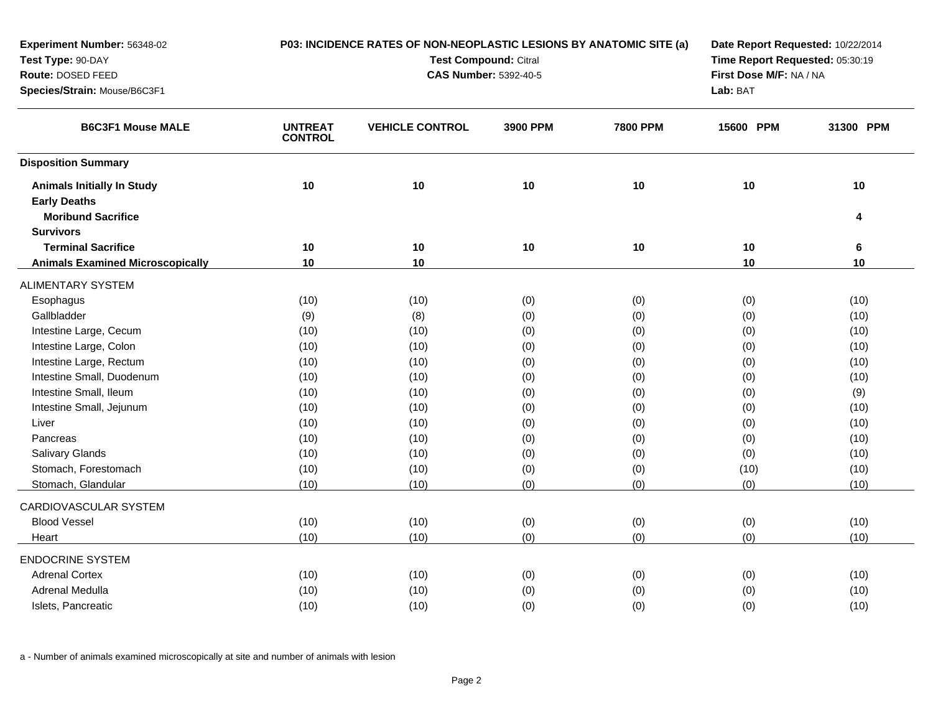| Experiment Number: 56348-02             |                                  | P03: INCIDENCE RATES OF NON-NEOPLASTIC LESIONS BY ANATOMIC SITE (a) | Date Report Requested: 10/22/2014 |                 |                         |                                 |  |
|-----------------------------------------|----------------------------------|---------------------------------------------------------------------|-----------------------------------|-----------------|-------------------------|---------------------------------|--|
| Test Type: 90-DAY                       |                                  |                                                                     | <b>Test Compound: Citral</b>      |                 |                         | Time Report Requested: 05:30:19 |  |
| Route: DOSED FEED                       |                                  |                                                                     | <b>CAS Number: 5392-40-5</b>      |                 | First Dose M/F: NA / NA |                                 |  |
| Species/Strain: Mouse/B6C3F1            |                                  |                                                                     |                                   |                 | Lab: BAT                |                                 |  |
| <b>B6C3F1 Mouse MALE</b>                | <b>UNTREAT</b><br><b>CONTROL</b> | <b>VEHICLE CONTROL</b>                                              | 3900 PPM                          | <b>7800 PPM</b> | 15600 PPM               | 31300 PPM                       |  |
| <b>Disposition Summary</b>              |                                  |                                                                     |                                   |                 |                         |                                 |  |
| <b>Animals Initially In Study</b>       | 10                               | 10                                                                  | 10                                | 10              | 10                      | $10$                            |  |
| <b>Early Deaths</b>                     |                                  |                                                                     |                                   |                 |                         |                                 |  |
| <b>Moribund Sacrifice</b>               |                                  |                                                                     |                                   |                 |                         | 4                               |  |
| <b>Survivors</b>                        |                                  |                                                                     |                                   |                 |                         |                                 |  |
| <b>Terminal Sacrifice</b>               | 10                               | 10                                                                  | 10                                | 10              | 10                      | $\bf 6$                         |  |
| <b>Animals Examined Microscopically</b> | 10                               | 10                                                                  |                                   |                 | 10                      | 10                              |  |
| <b>ALIMENTARY SYSTEM</b>                |                                  |                                                                     |                                   |                 |                         |                                 |  |
| Esophagus                               | (10)                             | (10)                                                                | (0)                               | (0)             | (0)                     | (10)                            |  |
| Gallbladder                             | (9)                              | (8)                                                                 | (0)                               | (0)             | (0)                     | (10)                            |  |
| Intestine Large, Cecum                  | (10)                             | (10)                                                                | (0)                               | (0)             | (0)                     | (10)                            |  |
| Intestine Large, Colon                  | (10)                             | (10)                                                                | (0)                               | (0)             | (0)                     | (10)                            |  |
| Intestine Large, Rectum                 | (10)                             | (10)                                                                | (0)                               | (0)             | (0)                     | (10)                            |  |
| Intestine Small, Duodenum               | (10)                             | (10)                                                                | (0)                               | (0)             | (0)                     | (10)                            |  |
| Intestine Small, Ileum                  | (10)                             | (10)                                                                | (0)                               | (0)             | (0)                     | (9)                             |  |
| Intestine Small, Jejunum                | (10)                             | (10)                                                                | (0)                               | (0)             | (0)                     | (10)                            |  |
| Liver                                   | (10)                             | (10)                                                                | (0)                               | (0)             | (0)                     | (10)                            |  |
| Pancreas                                | (10)                             | (10)                                                                | (0)                               | (0)             | (0)                     | (10)                            |  |
| <b>Salivary Glands</b>                  | (10)                             | (10)                                                                | (0)                               | (0)             | (0)                     | (10)                            |  |
| Stomach, Forestomach                    | (10)                             | (10)                                                                | (0)                               | (0)             | (10)                    | (10)                            |  |
| Stomach, Glandular                      | (10)                             | (10)                                                                | (0)                               | (0)             | (0)                     | (10)                            |  |
| CARDIOVASCULAR SYSTEM                   |                                  |                                                                     |                                   |                 |                         |                                 |  |
| <b>Blood Vessel</b>                     | (10)                             | (10)                                                                | (0)                               | (0)             | (0)                     | (10)                            |  |
| Heart                                   | (10)                             | (10)                                                                | (0)                               | (0)             | (0)                     | (10)                            |  |
| <b>ENDOCRINE SYSTEM</b>                 |                                  |                                                                     |                                   |                 |                         |                                 |  |
| <b>Adrenal Cortex</b>                   | (10)                             | (10)                                                                | (0)                               | (0)             | (0)                     | (10)                            |  |
| Adrenal Medulla                         | (10)                             | (10)                                                                | (0)                               | (0)             | (0)                     | (10)                            |  |
| Islets, Pancreatic                      | (10)                             | (10)                                                                | (0)                               | (0)             | (0)                     | (10)                            |  |
|                                         |                                  |                                                                     |                                   |                 |                         |                                 |  |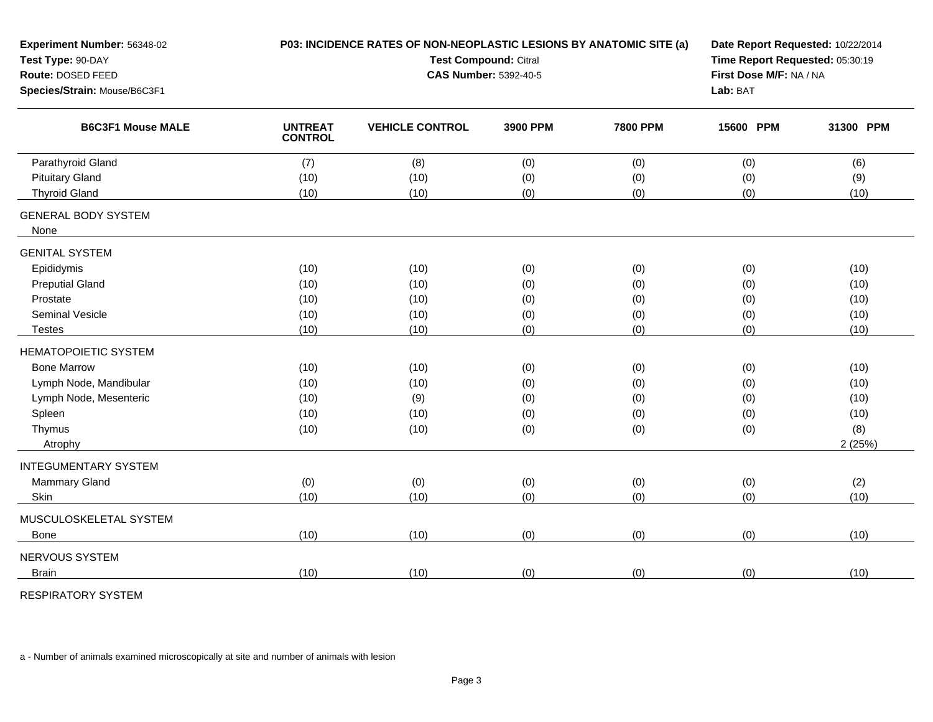| Experiment Number: 56348-02                              |                                  | P03: INCIDENCE RATES OF NON-NEOPLASTIC LESIONS BY ANATOMIC SITE (a) |                                 |                 | Date Report Requested: 10/22/2014 |           |  |  |
|----------------------------------------------------------|----------------------------------|---------------------------------------------------------------------|---------------------------------|-----------------|-----------------------------------|-----------|--|--|
| Test Type: 90-DAY                                        |                                  | Test Compound: Citral                                               | Time Report Requested: 05:30:19 |                 |                                   |           |  |  |
| Route: DOSED FEED                                        |                                  | <b>CAS Number: 5392-40-5</b>                                        |                                 |                 | First Dose M/F: NA / NA           |           |  |  |
| Species/Strain: Mouse/B6C3F1<br><b>B6C3F1 Mouse MALE</b> |                                  |                                                                     | Lab: BAT                        |                 |                                   |           |  |  |
|                                                          | <b>UNTREAT</b><br><b>CONTROL</b> | <b>VEHICLE CONTROL</b>                                              | 3900 PPM                        | <b>7800 PPM</b> | 15600 PPM                         | 31300 PPM |  |  |
| Parathyroid Gland                                        | (7)                              | (8)                                                                 | (0)                             | (0)             | (0)                               | (6)       |  |  |
| <b>Pituitary Gland</b>                                   | (10)                             | (10)                                                                | (0)                             | (0)             | (0)                               | (9)       |  |  |
| <b>Thyroid Gland</b>                                     | (10)                             | (10)                                                                | (0)                             | (0)             | (0)                               | (10)      |  |  |
| <b>GENERAL BODY SYSTEM</b>                               |                                  |                                                                     |                                 |                 |                                   |           |  |  |
| None                                                     |                                  |                                                                     |                                 |                 |                                   |           |  |  |
| <b>GENITAL SYSTEM</b>                                    |                                  |                                                                     |                                 |                 |                                   |           |  |  |
| Epididymis                                               | (10)                             | (10)                                                                | (0)                             | (0)             | (0)                               | (10)      |  |  |
| <b>Preputial Gland</b>                                   | (10)                             | (10)                                                                | (0)                             | (0)             | (0)                               | (10)      |  |  |
| Prostate                                                 | (10)                             | (10)                                                                | (0)                             | (0)             | (0)                               | (10)      |  |  |
| <b>Seminal Vesicle</b>                                   | (10)                             | (10)                                                                | (0)                             | (0)             | (0)                               | (10)      |  |  |
| <b>Testes</b>                                            | (10)                             | (10)                                                                | (0)                             | (0)             | (0)                               | (10)      |  |  |
| <b>HEMATOPOIETIC SYSTEM</b>                              |                                  |                                                                     |                                 |                 |                                   |           |  |  |
| <b>Bone Marrow</b>                                       | (10)                             | (10)                                                                | (0)                             | (0)             | (0)                               | (10)      |  |  |
| Lymph Node, Mandibular                                   | (10)                             | (10)                                                                | (0)                             | (0)             | (0)                               | (10)      |  |  |
| Lymph Node, Mesenteric                                   | (10)                             | (9)                                                                 | (0)                             | (0)             | (0)                               | (10)      |  |  |
| Spleen                                                   | (10)                             | (10)                                                                | (0)                             | (0)             | (0)                               | (10)      |  |  |
| Thymus                                                   | (10)                             | (10)                                                                | (0)                             | (0)             | (0)                               | (8)       |  |  |
| Atrophy                                                  |                                  |                                                                     |                                 |                 |                                   | 2(25%)    |  |  |
| <b>INTEGUMENTARY SYSTEM</b>                              |                                  |                                                                     |                                 |                 |                                   |           |  |  |
| <b>Mammary Gland</b>                                     | (0)                              | (0)                                                                 | (0)                             | (0)             | (0)                               | (2)       |  |  |
| Skin                                                     | (10)                             | (10)                                                                | (0)                             | (0)             | (0)                               | (10)      |  |  |
| MUSCULOSKELETAL SYSTEM                                   |                                  |                                                                     |                                 |                 |                                   |           |  |  |
| <b>Bone</b>                                              | (10)                             | (10)                                                                | (0)                             | (0)             | (0)                               | (10)      |  |  |
| NERVOUS SYSTEM                                           |                                  |                                                                     |                                 |                 |                                   |           |  |  |
| <b>Brain</b>                                             | (10)                             | (10)                                                                | (0)                             | (0)             | (0)                               | (10)      |  |  |
|                                                          |                                  |                                                                     |                                 |                 |                                   |           |  |  |

RESPIRATORY SYSTEM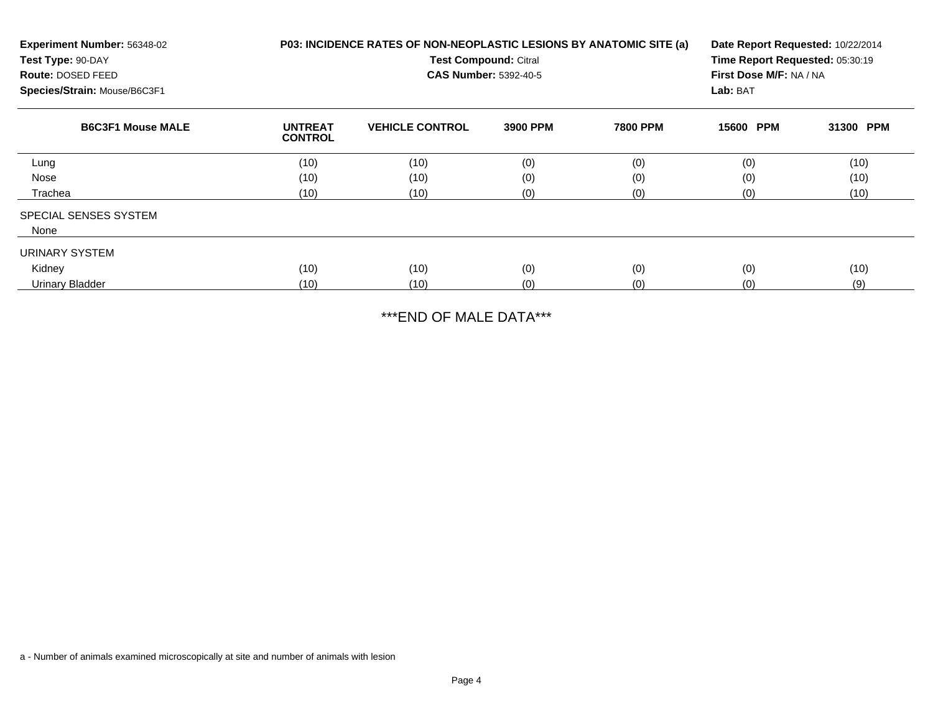| Experiment Number: 56348-02<br>Test Type: 90-DAY<br>Route: DOSED FEED<br>Species/Strain: Mouse/B6C3F1 | P03: INCIDENCE RATES OF NON-NEOPLASTIC LESIONS BY ANATOMIC SITE (a)<br><b>Test Compound: Citral</b><br><b>CAS Number: 5392-40-5</b> |                        |          |                 | Date Report Requested: 10/22/2014<br>Time Report Requested: 05:30:19<br>First Dose M/F: NA / NA<br>Lab: BAT |           |  |
|-------------------------------------------------------------------------------------------------------|-------------------------------------------------------------------------------------------------------------------------------------|------------------------|----------|-----------------|-------------------------------------------------------------------------------------------------------------|-----------|--|
| <b>B6C3F1 Mouse MALE</b>                                                                              | <b>UNTREAT</b><br><b>CONTROL</b>                                                                                                    | <b>VEHICLE CONTROL</b> | 3900 PPM | <b>7800 PPM</b> | 15600 PPM                                                                                                   | 31300 PPM |  |
| Lung                                                                                                  | (10)                                                                                                                                | (10)                   | (0)      | (0)             | (0)                                                                                                         | (10)      |  |
| Nose                                                                                                  | (10)                                                                                                                                | (10)                   | (0)      | (0)             | (0)                                                                                                         | (10)      |  |
| Trachea                                                                                               | (10)                                                                                                                                | (10)                   | (0)      | (0)             | (0)                                                                                                         | (10)      |  |
| <b>SPECIAL SENSES SYSTEM</b>                                                                          |                                                                                                                                     |                        |          |                 |                                                                                                             |           |  |
| None                                                                                                  |                                                                                                                                     |                        |          |                 |                                                                                                             |           |  |
| URINARY SYSTEM                                                                                        |                                                                                                                                     |                        |          |                 |                                                                                                             |           |  |
| Kidney                                                                                                | (10)                                                                                                                                | (10)                   | (0)      | (0)             | (0)                                                                                                         | (10)      |  |
| Urinary Bladder                                                                                       | (10)                                                                                                                                | (10)                   | (0)      | (0)             | (0)                                                                                                         | (9)       |  |

\*\*\*END OF MALE DATA\*\*\*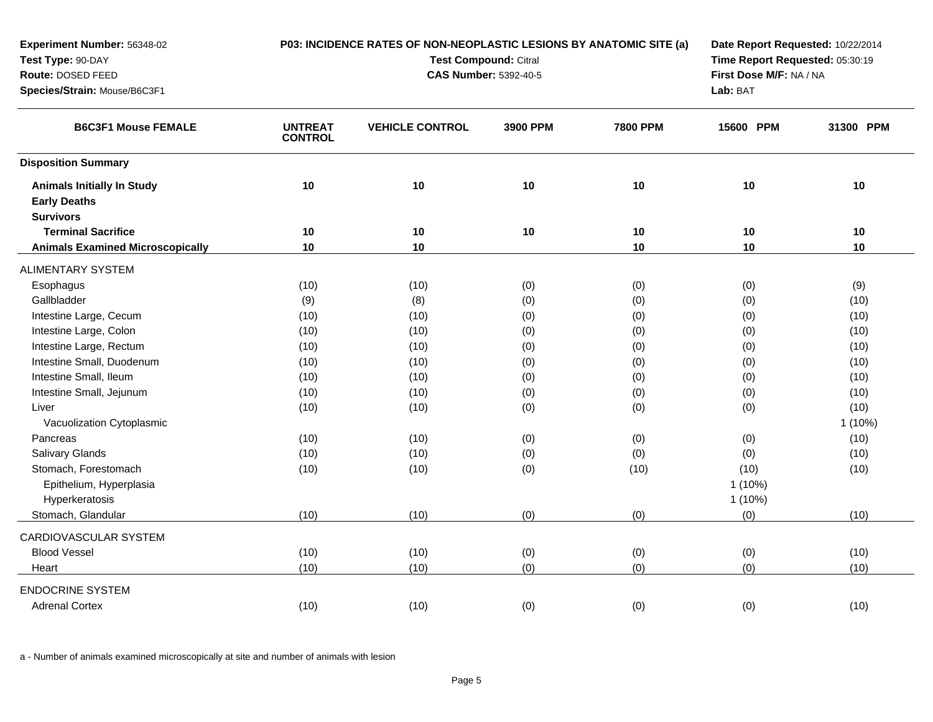| Experiment Number: 56348-02                              | P03: INCIDENCE RATES OF NON-NEOPLASTIC LESIONS BY ANATOMIC SITE (a) |                              |                                 | Date Report Requested: 10/22/2014 |                         |           |  |
|----------------------------------------------------------|---------------------------------------------------------------------|------------------------------|---------------------------------|-----------------------------------|-------------------------|-----------|--|
| Test Type: 90-DAY                                        |                                                                     | <b>Test Compound: Citral</b> | Time Report Requested: 05:30:19 |                                   |                         |           |  |
| Route: DOSED FEED                                        |                                                                     |                              | <b>CAS Number: 5392-40-5</b>    |                                   | First Dose M/F: NA / NA |           |  |
| Species/Strain: Mouse/B6C3F1                             |                                                                     |                              |                                 | Lab: BAT                          |                         |           |  |
| <b>B6C3F1 Mouse FEMALE</b>                               | <b>UNTREAT</b><br><b>CONTROL</b>                                    | <b>VEHICLE CONTROL</b>       | 3900 PPM                        | <b>7800 PPM</b>                   | 15600 PPM               | 31300 PPM |  |
| <b>Disposition Summary</b>                               |                                                                     |                              |                                 |                                   |                         |           |  |
| <b>Animals Initially In Study</b><br><b>Early Deaths</b> | 10                                                                  | 10                           | 10                              | $10$                              | $10$                    | 10        |  |
| <b>Survivors</b>                                         |                                                                     |                              |                                 |                                   |                         |           |  |
| <b>Terminal Sacrifice</b>                                | 10                                                                  | 10                           | 10                              | 10                                | 10                      | 10        |  |
| <b>Animals Examined Microscopically</b>                  | 10                                                                  | 10                           |                                 | 10                                | 10                      | 10        |  |
| <b>ALIMENTARY SYSTEM</b>                                 |                                                                     |                              |                                 |                                   |                         |           |  |
| Esophagus                                                | (10)                                                                | (10)                         | (0)                             | (0)                               | (0)                     | (9)       |  |
| Gallbladder                                              | (9)                                                                 | (8)                          | (0)                             | (0)                               | (0)                     | (10)      |  |
| Intestine Large, Cecum                                   | (10)                                                                | (10)                         | (0)                             | (0)                               | (0)                     | (10)      |  |
| Intestine Large, Colon                                   | (10)                                                                | (10)                         | (0)                             | (0)                               | (0)                     | (10)      |  |
| Intestine Large, Rectum                                  | (10)                                                                | (10)                         | (0)                             | (0)                               | (0)                     | (10)      |  |
| Intestine Small, Duodenum                                | (10)                                                                | (10)                         | (0)                             | (0)                               | (0)                     | (10)      |  |
| Intestine Small, Ileum                                   | (10)                                                                | (10)                         | (0)                             | (0)                               | (0)                     | (10)      |  |
| Intestine Small, Jejunum                                 | (10)                                                                | (10)                         | (0)                             | (0)                               | (0)                     | (10)      |  |
| Liver                                                    | (10)                                                                | (10)                         | (0)                             | (0)                               | (0)                     | (10)      |  |
| Vacuolization Cytoplasmic                                |                                                                     |                              |                                 |                                   |                         | $1(10\%)$ |  |
| Pancreas                                                 | (10)                                                                | (10)                         | (0)                             | (0)                               | (0)                     | (10)      |  |
| <b>Salivary Glands</b>                                   | (10)                                                                | (10)                         | (0)                             | (0)                               | (0)                     | (10)      |  |
| Stomach, Forestomach                                     | (10)                                                                | (10)                         | (0)                             | (10)                              | (10)                    | (10)      |  |
| Epithelium, Hyperplasia                                  |                                                                     |                              |                                 |                                   | $1(10\%)$               |           |  |
| Hyperkeratosis                                           |                                                                     |                              |                                 |                                   | 1(10%)                  |           |  |
| Stomach, Glandular                                       | (10)                                                                | (10)                         | (0)                             | (0)                               | (0)                     | (10)      |  |
| CARDIOVASCULAR SYSTEM                                    |                                                                     |                              |                                 |                                   |                         |           |  |
| <b>Blood Vessel</b>                                      | (10)                                                                | (10)                         | (0)                             | (0)                               | (0)                     | (10)      |  |
| Heart                                                    | (10)                                                                | (10)                         | (0)                             | (0)                               | (0)                     | (10)      |  |
| <b>ENDOCRINE SYSTEM</b>                                  |                                                                     |                              |                                 |                                   |                         |           |  |
| <b>Adrenal Cortex</b>                                    | (10)                                                                | (10)                         | (0)                             | (0)                               | (0)                     | (10)      |  |
|                                                          |                                                                     |                              |                                 |                                   |                         |           |  |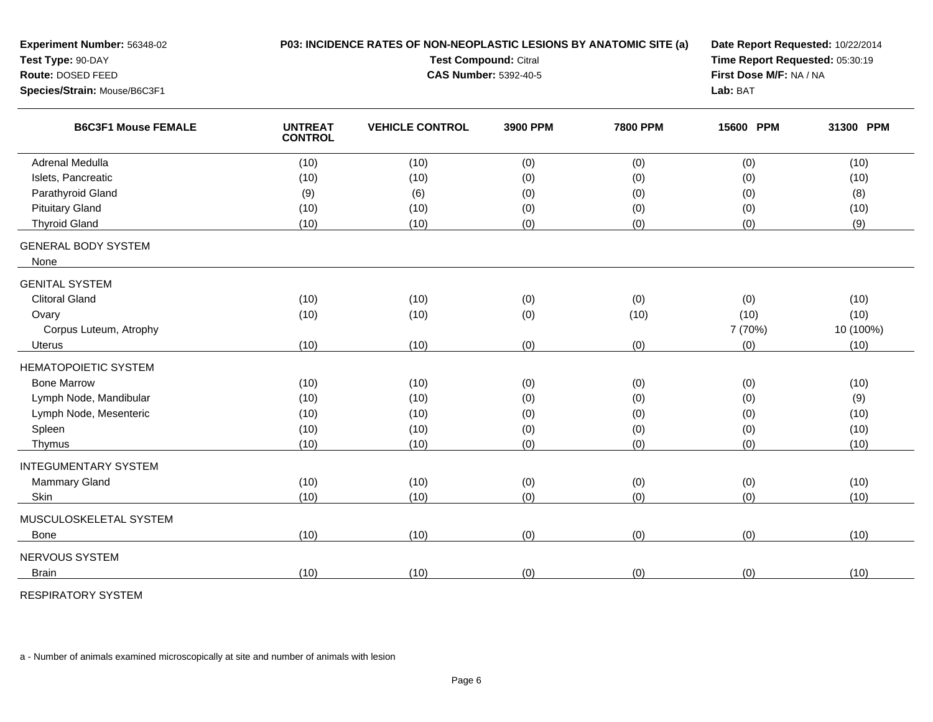| Experiment Number: 56348-02                                |                                  | P03: INCIDENCE RATES OF NON-NEOPLASTIC LESIONS BY ANATOMIC SITE (a) |                              |                                 | Date Report Requested: 10/22/2014 |           |  |  |
|------------------------------------------------------------|----------------------------------|---------------------------------------------------------------------|------------------------------|---------------------------------|-----------------------------------|-----------|--|--|
| Test Type: 90-DAY                                          |                                  | <b>Test Compound: Citral</b>                                        |                              | Time Report Requested: 05:30:19 |                                   |           |  |  |
| Route: DOSED FEED                                          |                                  |                                                                     | <b>CAS Number: 5392-40-5</b> |                                 | First Dose M/F: NA / NA           |           |  |  |
| Species/Strain: Mouse/B6C3F1<br><b>B6C3F1 Mouse FEMALE</b> |                                  |                                                                     | Lab: BAT                     |                                 |                                   |           |  |  |
|                                                            | <b>UNTREAT</b><br><b>CONTROL</b> | <b>VEHICLE CONTROL</b>                                              | 3900 PPM                     | <b>7800 PPM</b>                 | 15600 PPM                         | 31300 PPM |  |  |
| <b>Adrenal Medulla</b>                                     | (10)                             | (10)                                                                | (0)                          | (0)                             | (0)                               | (10)      |  |  |
| Islets, Pancreatic                                         | (10)                             | (10)                                                                | (0)                          | (0)                             | (0)                               | (10)      |  |  |
| Parathyroid Gland                                          | (9)                              | (6)                                                                 | (0)                          | (0)                             | (0)                               | (8)       |  |  |
| <b>Pituitary Gland</b>                                     | (10)                             | (10)                                                                | (0)                          | (0)                             | (0)                               | (10)      |  |  |
| <b>Thyroid Gland</b>                                       | (10)                             | (10)                                                                | (0)                          | (0)                             | (0)                               | (9)       |  |  |
| <b>GENERAL BODY SYSTEM</b><br>None                         |                                  |                                                                     |                              |                                 |                                   |           |  |  |
| <b>GENITAL SYSTEM</b>                                      |                                  |                                                                     |                              |                                 |                                   |           |  |  |
| <b>Clitoral Gland</b>                                      | (10)                             | (10)                                                                | (0)                          | (0)                             | (0)                               | (10)      |  |  |
| Ovary                                                      | (10)                             | (10)                                                                | (0)                          | (10)                            | (10)                              | (10)      |  |  |
| Corpus Luteum, Atrophy                                     |                                  |                                                                     |                              |                                 | 7 (70%)                           | 10 (100%) |  |  |
| <b>Uterus</b>                                              | (10)                             | (10)                                                                | (0)                          | (0)                             | (0)                               | (10)      |  |  |
| <b>HEMATOPOIETIC SYSTEM</b>                                |                                  |                                                                     |                              |                                 |                                   |           |  |  |
| <b>Bone Marrow</b>                                         | (10)                             | (10)                                                                | (0)                          | (0)                             | (0)                               | (10)      |  |  |
| Lymph Node, Mandibular                                     | (10)                             | (10)                                                                | (0)                          | (0)                             | (0)                               | (9)       |  |  |
| Lymph Node, Mesenteric                                     | (10)                             | (10)                                                                | (0)                          | (0)                             | (0)                               | (10)      |  |  |
| Spleen                                                     | (10)                             | (10)                                                                | (0)                          | (0)                             | (0)                               | (10)      |  |  |
| Thymus                                                     | (10)                             | (10)                                                                | (0)                          | (0)                             | (0)                               | (10)      |  |  |
| <b>INTEGUMENTARY SYSTEM</b>                                |                                  |                                                                     |                              |                                 |                                   |           |  |  |
| <b>Mammary Gland</b>                                       | (10)                             | (10)                                                                | (0)                          | (0)                             | (0)                               | (10)      |  |  |
| Skin                                                       | (10)                             | (10)                                                                | (0)                          | (0)                             | (0)                               | (10)      |  |  |
| MUSCULOSKELETAL SYSTEM                                     |                                  |                                                                     |                              |                                 |                                   |           |  |  |
| <b>Bone</b>                                                | (10)                             | (10)                                                                | (0)                          | (0)                             | (0)                               | (10)      |  |  |
| NERVOUS SYSTEM                                             |                                  |                                                                     |                              |                                 |                                   |           |  |  |
| <b>Brain</b>                                               | (10)                             | (10)                                                                | (0)                          | (0)                             | (0)                               | (10)      |  |  |
|                                                            |                                  |                                                                     |                              |                                 |                                   |           |  |  |

RESPIRATORY SYSTEM